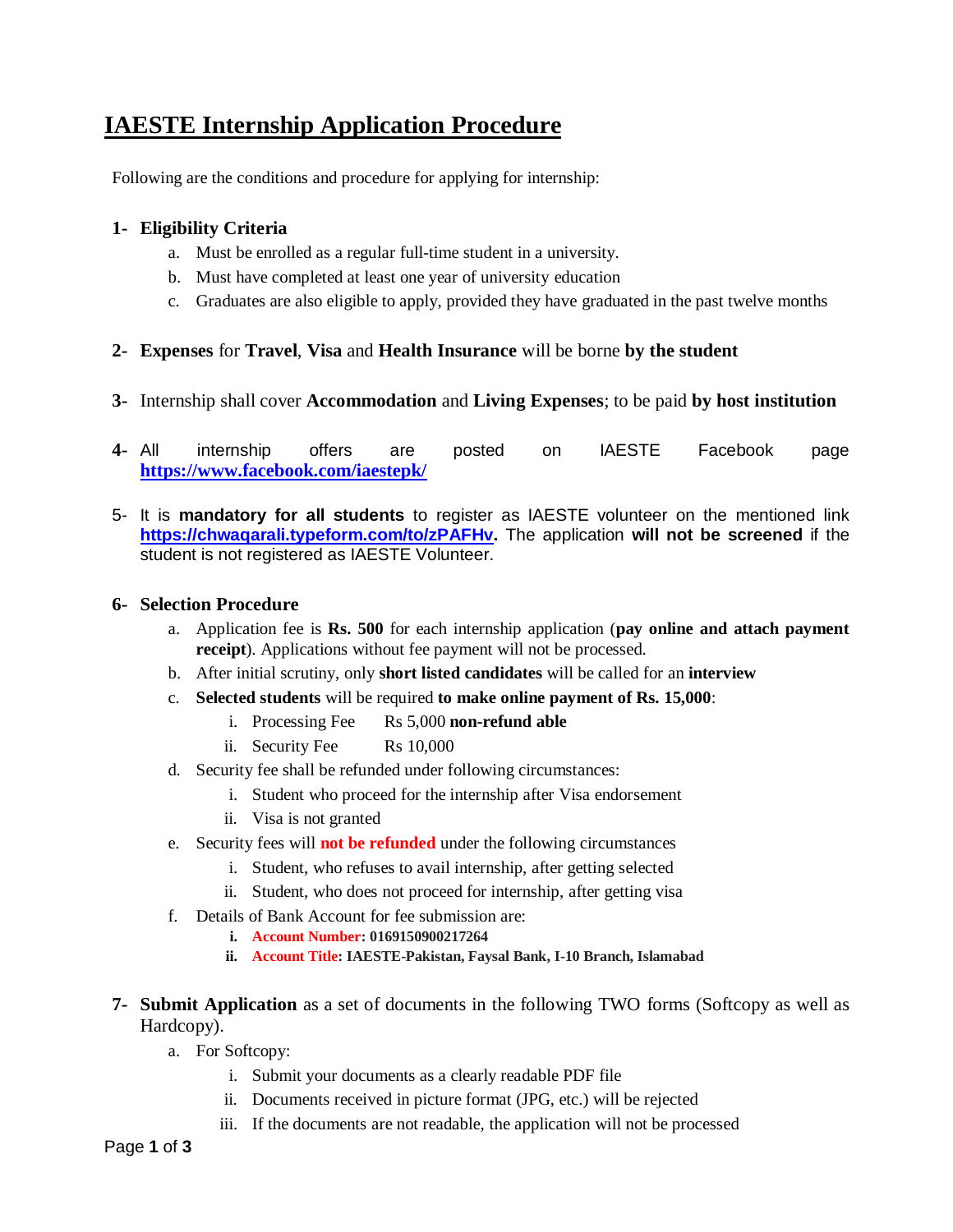# **IAESTE Internship Application Procedure**

Following are the conditions and procedure for applying for internship:

# **1- Eligibility Criteria**

- a. Must be enrolled as a regular full-time student in a university.
- b. Must have completed at least one year of university education
- c. Graduates are also eligible to apply, provided they have graduated in the past twelve months

# **2- Expenses** for **Travel**, **Visa** and **Health Insurance** will be borne **by the student**

- **3-** Internship shall cover **Accommodation** and **Living Expenses**; to be paid **by host institution**
- **4-** All internship offers are posted on IAESTE Facebook page **<https://www.facebook.com/iaestepk/>**
- 5- It is **mandatory for all students** to register as IAESTE volunteer on the mentioned link **[https://chwaqarali.typeform.com/to/zPAFHv.](https://chwaqarali.typeform.com/to/zPAFHv)** The application **will not be screened** if the student is not registered as IAESTE Volunteer.

## **6- Selection Procedure**

- a. Application fee is **Rs. 500** for each internship application (**pay online and attach payment receipt**). Applications without fee payment will not be processed.
- b. After initial scrutiny, only **short listed candidates** will be called for an **interview**
- c. **Selected students** will be required **to make online payment of Rs. 15,000**:
	- i. Processing Fee Rs 5,000 **non-refund able**
	- ii. Security Fee Rs 10,000
- d. Security fee shall be refunded under following circumstances:
	- i. Student who proceed for the internship after Visa endorsement
	- ii. Visa is not granted
- e. Security fees will **not be refunded** under the following circumstances
	- i. Student, who refuses to avail internship, after getting selected
	- ii. Student, who does not proceed for internship, after getting visa
- f. Details of Bank Account for fee submission are:
	- **i. Account Number: 0169150900217264**
	- **ii. Account Title: IAESTE-Pakistan, Faysal Bank, I-10 Branch, Islamabad**
- **7- Submit Application** as a set of documents in the following TWO forms (Softcopy as well as Hardcopy).
	- a. For Softcopy:
		- i. Submit your documents as a clearly readable PDF file
		- ii. Documents received in picture format (JPG, etc.) will be rejected
		- iii. If the documents are not readable, the application will not be processed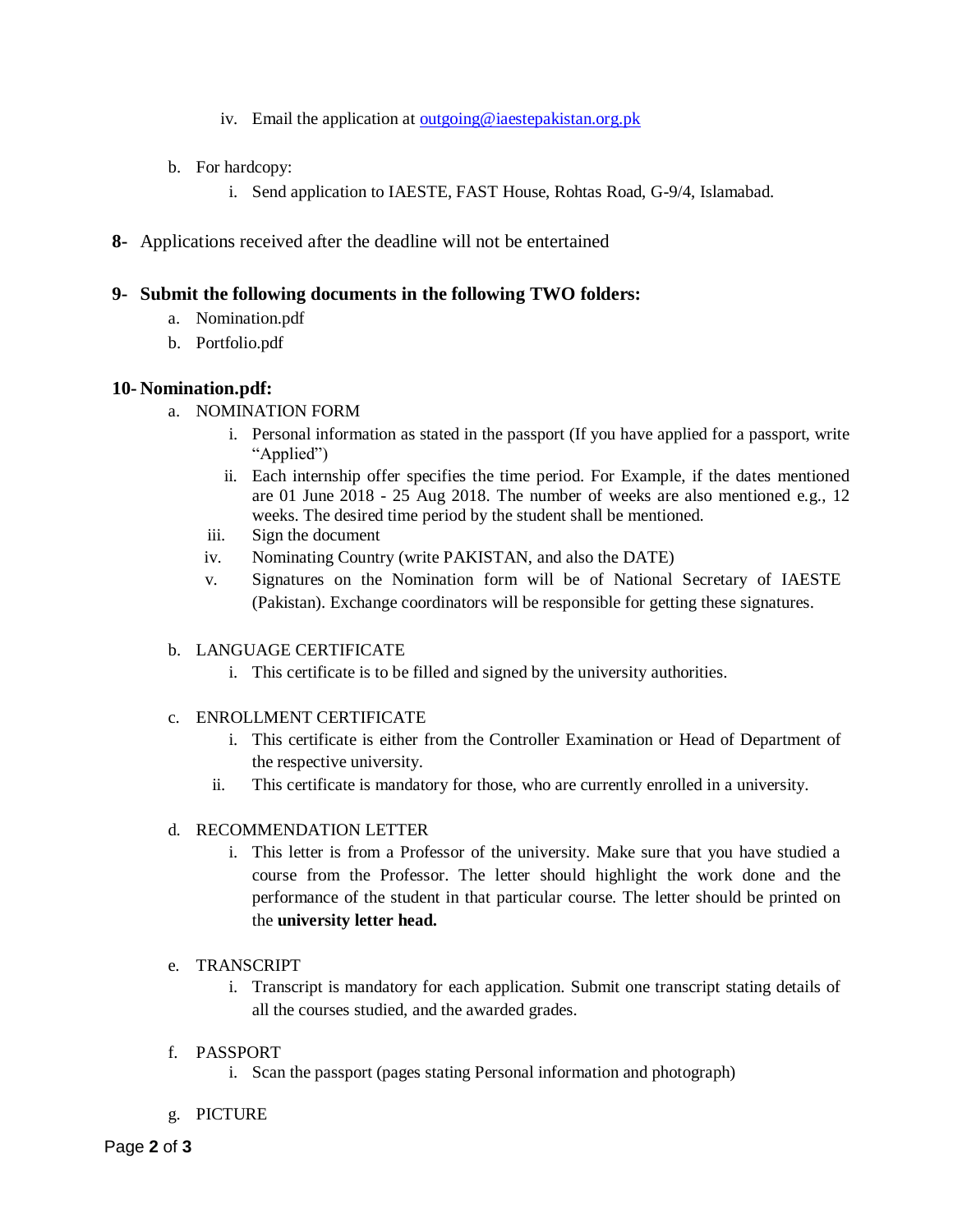- iv. Email the application at [outgoing@iaestepakistan.org.pk](mailto:outgoing@iaestepakistan.org.pk)
- b. For hardcopy:
	- i. Send application to IAESTE, FAST House, Rohtas Road, G-9/4, Islamabad.
- **8-** Applications received after the deadline will not be entertained

## **9- Submit the following documents in the following TWO folders:**

- a. Nomination.pdf
- b. Portfolio.pdf

## **10- Nomination.pdf:**

- a. NOMINATION FORM
	- i. Personal information as stated in the passport (If you have applied for a passport, write "Applied")
	- ii. Each internship offer specifies the time period. For Example, if the dates mentioned are 01 June 2018 - 25 Aug 2018. The number of weeks are also mentioned e.g., 12 weeks. The desired time period by the student shall be mentioned.
	- iii. Sign the document
	- iv. Nominating Country (write PAKISTAN, and also the DATE)
	- v. Signatures on the Nomination form will be of National Secretary of IAESTE (Pakistan). Exchange coordinators will be responsible for getting these signatures.

#### b. LANGUAGE CERTIFICATE

i. This certificate is to be filled and signed by the university authorities.

#### c. ENROLLMENT CERTIFICATE

- i. This certificate is either from the Controller Examination or Head of Department of the respective university.
- ii. This certificate is mandatory for those, who are currently enrolled in a university.

#### d. RECOMMENDATION LETTER

i. This letter is from a Professor of the university. Make sure that you have studied a course from the Professor. The letter should highlight the work done and the performance of the student in that particular course. The letter should be printed on the **university letter head.**

#### e. TRANSCRIPT

- i. Transcript is mandatory for each application. Submit one transcript stating details of all the courses studied, and the awarded grades.
- f. PASSPORT
	- i. Scan the passport (pages stating Personal information and photograph)
- g. PICTURE